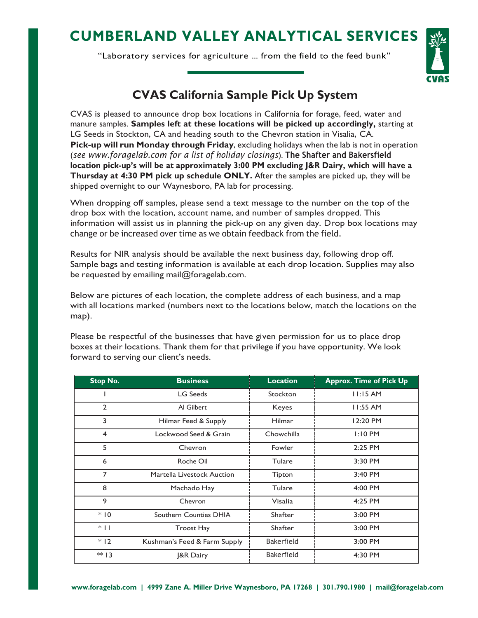## **CUMBERLAND VALLEY ANALYTICAL SERVICES**

"Laboratory services for agriculture ... from the field to the feed bunk"



## **CVAS California Sample Pick Up System**

CVAS is pleased to announce drop box locations in California for forage, feed, water and manure samples. **Samples left at these locations will be picked up accordingly,** starting at LG Seeds in Stockton, CA and heading south to the Chevron station in Visalia, CA. **Pick-up will run Monday through Friday**, excluding holidays when the lab is not in operation (*see [www.foragelab.com f](http://www.foragelab.com/)or a list of holiday closings*). **The Shafter and Bakersfield location pick-up's will be at approximately 3:00 PM excluding J&R Dairy, which will have a Thursday at 4:30 PM pick up schedule ONLY.** After the samples are picked up, they will be shipped overnight to our Waynesboro, PA lab for processing.

When dropping off samples, please send a text message to the number on the top of the drop box with the location, account name, and number of samples dropped. This information will assist us in planning the pick-up on any given day. Drop box locations may change or be increased over time as we obtain feedback from the field.

Results for NIR analysis should be available the next business day, following drop off. Sample bags and testing information is available at each drop location. Supplies may also be requested by emailing [mail@foragelab.com.](mailto:mail@foragelab.com)

Below are pictures of each location, the complete address of each business, and a map with all locations marked (numbers next to the locations below, match the locations on the map).

Please be respectful of the businesses that have given permission for us to place drop boxes at their locations. Thank them for that privilege if you have opportunity. We look forward to serving our client's needs.

| Stop No.       | <b>Business</b>               | <b>Location</b>   | <b>Approx. Time of Pick Up</b> |
|----------------|-------------------------------|-------------------|--------------------------------|
|                | <b>LG Seeds</b>               | Stockton          | 11:15AM                        |
| $\overline{2}$ | Al Gilbert                    | Keyes             | $11:55$ AM                     |
| 3              | Hilmar Feed & Supply          | <b>Hilmar</b>     | 12:20 PM                       |
| $\overline{4}$ | Lockwood Seed & Grain         | Chowchilla        | $1:10$ PM                      |
| 5              | Chevron                       | Fowler            | 2:25 PM                        |
| 6              | Roche Oil                     | <b>Tulare</b>     | 3:30 PM                        |
| $\overline{7}$ | Martella Livestock Auction    | Tipton            | 3:40 PM                        |
| 8              | Machado Hay                   | <b>Tulare</b>     | 4:00 PM                        |
| 9              | Chevron                       | Visalia           | 4:25 PM                        |
| $*10$          | <b>Southern Counties DHIA</b> | <b>Shafter</b>    | 3:00 PM                        |
| $*$            | <b>Troost Hay</b>             | <b>Shafter</b>    | 3:00 PM                        |
| $*12$          | Kushman's Feed & Farm Supply  | <b>Bakerfield</b> | 3:00 PM                        |
| $** 13$        | <b>J&amp;R Dairy</b>          | <b>Bakerfield</b> | 4:30 PM                        |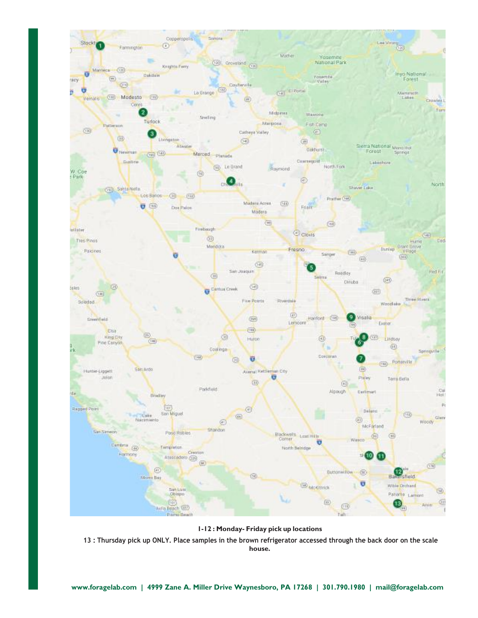

**1-12 : Monday- Friday pick up locations**

13 : Thursday pick up ONLY. Place samples in the brown refrigerator accessed through the back door on the scale **house.**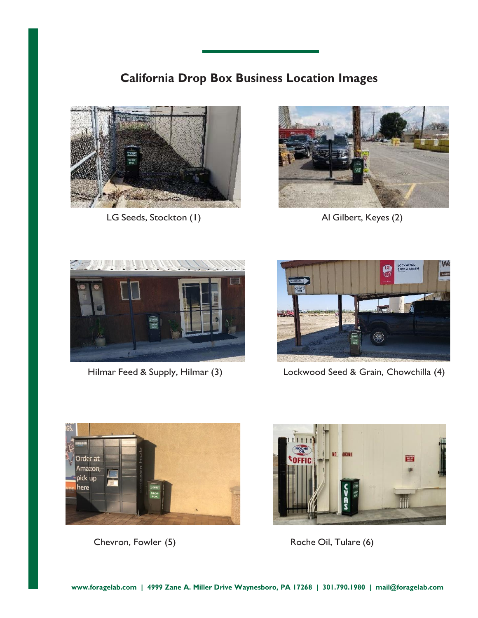## **California Drop Box Business Location Images**



LG Seeds, Stockton (1) Al Gilbert, Keyes (2)







Hilmar Feed & Supply, Hilmar (3) Lockwood Seed & Grain, Chowchilla (4)





Chevron, Fowler (5) Roche Oil, Tulare (6)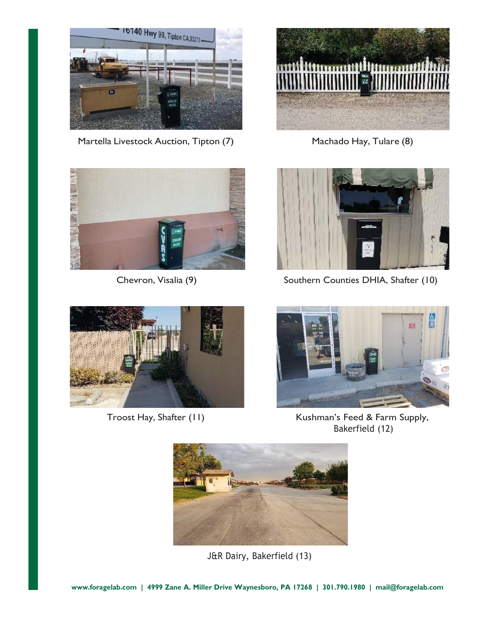

Martella Livestock Auction, Tipton (7) Machado Hay, Tulare (8)









Chevron, Visalia (9) Southern Counties DHIA, Shafter (10)



Troost Hay, Shafter (11) Kushman's Feed & Farm Supply, Bakerfield (12)



J&R Dairy, Bakerfield (13)